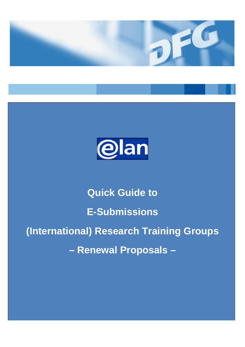



# **Quick Guide to E-Submissions (International) Research Training Groups – Renewal Proposals –**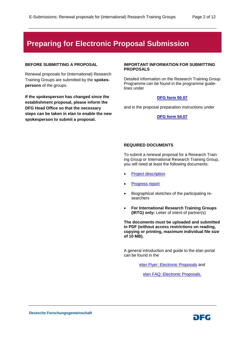# **Preparing for Electronic Proposal Submission**

## **BEFORE SUBMITTING A PROPOSAL**

Renewal proposals for (International) Research Training Groups are submitted by the **spokespersons** of the groups.

**If the spokesperson has changed since the establishment proposal, please inform the DFG Head Office so that the necessary steps can be taken in elan to enable the new spokesperson to submit a proposal.** 

#### **IMPORTANT INFORMATION FOR SUBMITTING PROPOSALS**

Detailed information on the Research Training Group Programme can be found in the programme guidelines under

## **[DFG form](http://www.dfg.de/formulare/50_07) 50.07**

and in the proposal preparation instructions under

#### **[DFG form 54.07](http://www.dfg.de/formulare/54_07)**

#### **REQUIRED DOCUMENTS**

To submit a renewal proposal for a Research Training Group or International Research Training Group, you will need at least the following documents:

- [Project description](https://www.dfg.de/formulare/53_61_elan)
- **[Progress report](http://www.dfg.de/formulare/54_08)**
- Biographical sketches of the participating researchers
- **For International Research Training Groups (IRTG) only:** Letter of intent of partner(s)

**The documents must be uploaded and submitted in PDF (without access restrictions on reading, copying or printing, maximum individual file size of 10 MB).**

A general introduction and guide to the elan portal can be found in the

[elan Flyer: Electronic Proposals](http://www.dfg.de/download/pdf/foerderung/antragstellung/elan/flyer_eant_en.pdf) and

[elan FAQ: Electronic Proposals.](http://www.dfg.de/download/pdf/foerderung/antragstellung/elan/faq_eant_en.pdf)

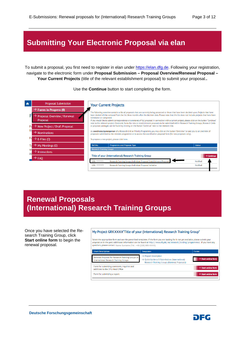# **Submitting Your Electronic Proposal via elan**

To submit a proposal, you first need to register in elan under [https://elan.dfg.de.](https://elan.dfg.de/) Following your registration, navigate to the electronic form under **Proposal Submission – Proposal Overview/Renewal Proposal – Your Current Projects** (title of the relevant establishment proposal) to submit your proposal.**.**

Use the **Continue** button to start completing the form.



# **Renewal Proposals (International) Research Training Groups**

Once you have selected the Research Training Group, click **Start online form** to begin the renewal proposal.

#### My Project GRKXXXX<sup>\*</sup>Title of your (International) Research Training Group<sup>\*</sup>

Select the appropriate form and use the prescribed templates. If the form you are looking for is not yet available, please submit your proposal as in the past. Additional information can be found at http://www.dfg.de/en/research\_funding/programmes/. If you have any questions, please contact Name Surname (Tel.: +49 (228) 885-XXXX).



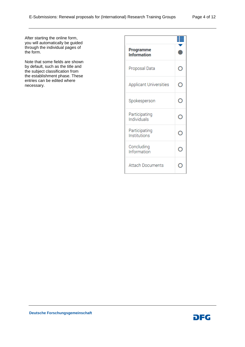After starting the online form, you will automatically be guided through the individual pages of the form.

Note that some fields are shown by default, such as the title and the subject classification from the establishment phase. These entries can be edited where necessary.

| <b>Programme</b><br><b>Information</b> |  |
|----------------------------------------|--|
| Proposal Data                          |  |
| <b>Applicant Universities</b>          |  |
| Spokesperson                           |  |
| Participating<br>Individuals           |  |
| Participating<br>Institutions          |  |
| Concluding<br>Information              |  |
| <b>Attach Documents</b>                |  |

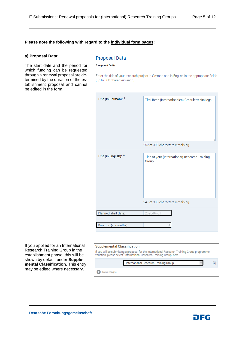#### **Please note the following with regard to the individual form pages:**

#### **a) Proposal Data:**

The start date and the period for which funding can be requested through a renewal proposal are determined by the duration of the establishment proposal and cannot be edited in the form.

| <b>Proposal Data</b>         |                                                                                             |
|------------------------------|---------------------------------------------------------------------------------------------|
| * required fields            |                                                                                             |
| (up to 300 characters each). | Enter the title of your research project in German and in English in the appropriate fields |
| Title (in German): *         | Titel Ihres (Internationalen) Graduiertenkollegs                                            |
|                              | 252 of 300 characters remaining                                                             |
| Title (in English): *        | Title of your (International) Research Training<br>Group                                    |
|                              | 247 of 300 characters remaining                                                             |
| Planned start date:          | 2026-04-01                                                                                  |
| Duration (in months):        |                                                                                             |

If you applied for an International Research Training Group in the establishment phase, this will be shown by default under **Supplemental Classification**. This entry may be edited where necessary.

#### **Supplemental Classification**

If you will be submitting a proposal for the International Research Training Group programme<br>variation, please select "International Research Training Group" here. 圙 International Research Training Group New row(s)

**Deutsche Forschungsgemeinschaft**

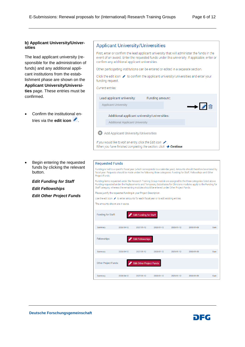#### **b) Applicant University/Universities**

The lead applicant university (responsible for the administration of funds) and any additional applicant institutions from the establishment phase are shown on the **Applicant University/Universities** page. These entries must be confirmed.

• Confirm the institutional entries via the **edit icon**  $\mathscr{I}$ .

Begin entering the requested funds by clicking the relevant button.

*Edit Funding for Staff Edit Fellowships Edit Other Project Funds*

## **Applicant University/Universities**

First, enter or confirm the lead applicant university that will administer the funds in the event of an award. Enter the requested funds under this university. If applicable, enter or confirm any additional applicant universities.

Other participating institutions can be entered or edited in a separate section.

Click the edit icon  $\mathcal I$  to confirm the applicant university/universities and enter your funding request.

#### Current entries.

| Lead applicant university:                                         | Funding amount: |                    |
|--------------------------------------------------------------------|-----------------|--------------------|
| <b>Applicant University</b>                                        |                 | $\rightarrow$<br>耐 |
| Additional applicant university/universities:                      |                 |                    |
| <b>Additional Applicant University</b>                             |                 |                    |
| <b>Add Applicant University/Universities</b>                       |                 |                    |
| If you would like to edit an entry, click the Edit Icon $\infty$ . |                 |                    |

**Requested Funds** 

Funding is tied to a specific fiscal year (which corresponds to a calendar year). Amounts should therefore be entered by fiscal year. Requests should be made under the following three categories: Funding for Staff, Fellowships and Other Project Funds

Funding items requested under the Research Training Group module are assigned to the three categories listed above. Funding requested under the Replacements and Temporary Substitutes for Clinicians modules apply to the Funding for Staff category, whereas the remaining modules should be entered under Other Project Funds.

Please justify the requested funding in your Project Description

Use the edit icon  $\bullet$  to enter amounts for each fiscal vear or to edit existing entries

When you have finished completing the section, click  $\rightarrow$  Continue.

The amounts shown are in euros

| Funding for Staff:          |            | <b>Edit Funding for Staff</b>   |            |            |            |     |
|-----------------------------|------------|---------------------------------|------------|------------|------------|-----|
| Summary                     | 2026/04-12 | 2027/01-12                      | 2028/01-12 | 2029/01-12 | 2030/01-09 | Sum |
|                             |            |                                 |            |            |            |     |
| Fellowships:                |            | <b>Edit Fellowships</b>         |            |            |            |     |
| Summary                     | 2026/04-12 | 2027/01-12                      | 2028/01-12 | 2029/01-12 | 2030/01-09 | Sum |
| <b>Other Project Funds:</b> |            | <b>Edit Other Project Funds</b> |            |            |            |     |
| Summary                     | 2026/04-12 | 2027/01-12                      | 2028/01-12 | 2029/01-12 | 2030/01-09 | Sum |

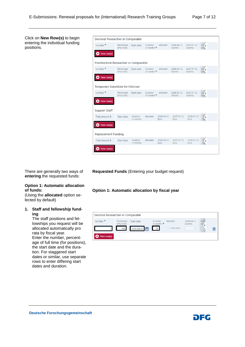Click on **New Row(s)** to begin entering the individual funding positions.

| Doctoral Researcher or Comparable         |                            |                       |                                |                    |                      |                      |                          |  |
|-------------------------------------------|----------------------------|-----------------------|--------------------------------|--------------------|----------------------|----------------------|--------------------------|--|
| Number <sup>*</sup>                       | Percentage<br>of full time | Start date            | Duration<br>in months $*$      | allocated          | 2026/04-12<br>Months | 2027/01-12<br>Months | 207 <sub>2</sub><br>Mor. |  |
| $\bullet$ New row(s)                      |                            |                       |                                |                    |                      |                      |                          |  |
| Postdoctoral Researcher or Comparable     |                            |                       |                                |                    |                      |                      |                          |  |
| Number *                                  | Percentage<br>of full time | Start date            | <b>Duration</b><br>in months * | allocated          | 2026/04-12<br>Months | 2027/01-12<br>Months | 207 <sub>2</sub><br>Mon. |  |
| New row(s)                                |                            |                       |                                |                    |                      |                      |                          |  |
| <b>Temporary Substitute for Clinician</b> |                            |                       |                                |                    |                      |                      |                          |  |
| Number <sup>*</sup>                       | Percentage<br>of full time | Start date            | Duration<br>in months *        | allocated          | 2026/04-12<br>Months | 2027/01-12<br>Months | 207 <sub>2</sub><br>Mon. |  |
| New row(s)                                |                            |                       |                                |                    |                      |                      |                          |  |
| <b>Support Staff</b>                      |                            |                       |                                |                    |                      |                      |                          |  |
| Total amount €                            | Start date                 | Duration<br>in months | allocated                      | 2026/04-12<br>Euro | 2027/01-12<br>Euro   | 2028/01-12<br>Euro   | $2\sqrt{25}$<br>Eu.      |  |
| $\bullet$ New row(s)                      |                            |                       |                                |                    |                      |                      |                          |  |
| <b>Replacement Funding</b>                |                            |                       |                                |                    |                      |                      |                          |  |
| Total amount €                            | Start date                 | Duration<br>in months | allocated                      | 2026/04-12<br>Euro | 2027/01-12<br>Euro   | 2028/01-12<br>Euro   | $2\sqrt{25}$<br>Eu.      |  |
| New row(s)                                |                            |                       |                                |                    |                      |                      |                          |  |

There are generally two ways of **entering** the requested funds:

#### **Option 1: Automatic allocation of funds:**

(Using the **allocated** option selected by default)

## **1. Staff and fellowship funding**

The staff positions and fellowships you request will be allocated automatically pro rata by fiscal year. Enter the number, percentage of full time (for positions), the start date and the duration. For staggered start dates or similar, use separate rows to enter differing start dates and duration.

**Requested Funds** (Entering your budget request)

**Option 1: Automatic allocation by fiscal year**



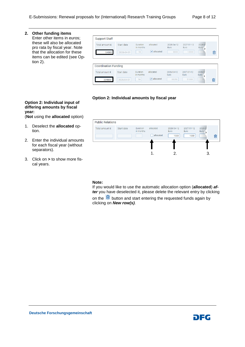## **2. Other funding items**

Enter other items in euros; these will also be allocated pro rata by fiscal year. Note that the allocation for these items can be edited (see Option 2).

| Start date<br>2026-04-01    | <b>Duration</b><br>in months<br>54 | allocated<br>$\triangleright$ allocated | 2026/04-12<br><b>Furo</b><br>9000 | 2027/01-12<br>Euro<br>12000 | 2028/0<br>Euro               | 圙 |
|-----------------------------|------------------------------------|-----------------------------------------|-----------------------------------|-----------------------------|------------------------------|---|
| <b>Coordination Funding</b> |                                    |                                         |                                   |                             |                              |   |
| Start date                  | Duration<br>in months              | allocated                               | 2026/04-12<br>Euro                | 2027/01-12<br>Euro          | 2028/07<br><b>Euro</b><br>١, |   |
|                             |                                    |                                         |                                   |                             |                              |   |

# **Option 2: Individual amounts by fiscal year**

## **Option 2: Individual input of differing amounts by fiscal year:**

(**Not** using the **allocated** option)

- 1. Deselect the **allocated** option.
- 2. Enter the individual amounts for each fiscal year (without separators).
- 3. Click on **>** to show more fiscal years.



## **Note:**

If you would like to use the automatic allocation option (**allocated**) *after* you have deselected it, please delete the relevant entry by clicking

on the  $\blacksquare$  button and start entering the requested funds again by clicking on *New row(s)*.

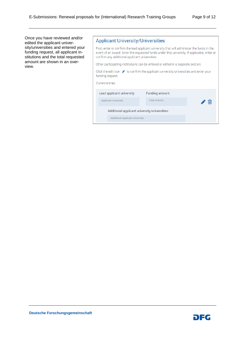Once you have reviewed and/or edited the applicant university/universities and entered your funding request, all applicant institutions and the total requested amount are shown in an overview.

# **Applicant University/Universities**

First, enter or confirm the lead applicant university that will administer the funds in the event of an award. Enter the requested funds under this university. If applicable, enter or confirm any additional applicant universities.

Other participating institutions can be entered or edited in a separate section.

Click the edit icon ◆ to confirm the applicant university/universities and enter your funding request.

Current entries:

| Lead applicant university:                    | Funding amount:     |   |
|-----------------------------------------------|---------------------|---|
| <b>Applicant University</b>                   | <b>Total Amount</b> | Ш |
| Additional applicant university/universities: |                     |   |
| <b>Additional Applicant University</b>        |                     |   |

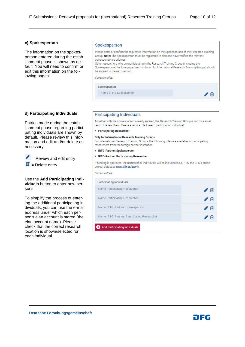#### **c) Spokesperson**

The information on the spokesperson entered during the establishment phase is shown by default. You will need to confirm or edit this information on the following pages.

#### Spokesperson

Please enter or confirm the requested information on the Spokesperson of the Research Training Group. Note: The Spokesperson must be registered in elan and have verified the relevant correspondence address Other researchers who are participating in the Research Training Group (including the Spokesperson at the foreign partner institution for International Research Training Groups) should be entered in the next section Current entries: Spokesperson: Name of the Spokesperson ╱ ⋒

# **d) Participating Individuals**

Entries made during the establishment phase regarding participating individuals are shown by default. Please review this information and edit and/or delete as necessary.

 $\triangle$  = Review and edit entry  $\frac{\hat{\mathbf{m}}}{\hat{\mathbf{m}}}$  = Delete entry

Use the **Add Participating Individuals** button to enter new persons.

To simplify the process of entering the additional participating individuals, you can use the e-mail address under which each person's elan account is stored (the elan account name). Please check that the correct research location is shown/selected for each individual.

#### **Participating Individuals**

Together with the spokesperson already entered, the Research Training Group is run by a small team of researchers. Please assign a role to each participating individual:

• Participating Researcher

#### **Only for International Research Training Groups**

For International Research Training Groups, the following roles are available for participating researchers from the foreign partner institution

- IRTG-Partner: Spokesperson
- IRTG-Partner: Participating Researcher

If funding is approved, the names of all individuals will be included in GEPRIS, the DFG's online project database www.dfg.de/gepris.

Current entries.

| Participating Individuals                   |  |
|---------------------------------------------|--|
| Name Participating Researcher               |  |
| Name Participating Researcher               |  |
| Name IRTG-Partner: Spokesperson             |  |
| Name IRTG-Partner: Participating Researcher |  |
| <b>Add Participating Individuals</b>        |  |

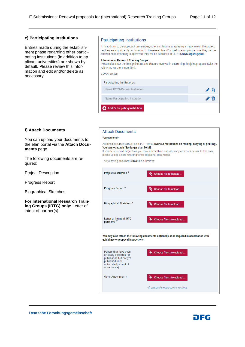#### **e) Participating Institutions**

Entries made during the establishment phase regarding other participating institutions (in addition to applicant universities) are shown by default. Please review this information and edit and/or delete as necessary.

#### **Participating Institutions**

If, in addition to the applicant universities, other institutions are playing a major role in the project, i.e. they are significantly contributing to the research and/or qualification programme, they can be entered here. If funding is approved, they will be published in GEPRIS www.dfg.de/gepris.

#### **International Research Training Groups:**

| Please also enter the foreign institutions that are involved in submitting this joint proposal (with the<br>role IRTG-Partner Institution). |    |
|---------------------------------------------------------------------------------------------------------------------------------------------|----|
| Current entries:                                                                                                                            |    |
| Participating Institution/s:                                                                                                                |    |
| Name IRTG-Partner Institution                                                                                                               | ŢШ |
| Name Participating Institution                                                                                                              | Įш |
| <b>Add Participating Institution</b>                                                                                                        |    |

#### **f) Attach Documents**

You can upload your documents to the elan portal via the **Attach Documents** page.

The following documents are required:

Project Description

Progress Report

Biographical Sketches

**For International Research Training Groups (IRTG) only:** Letter of intent of partner(s)